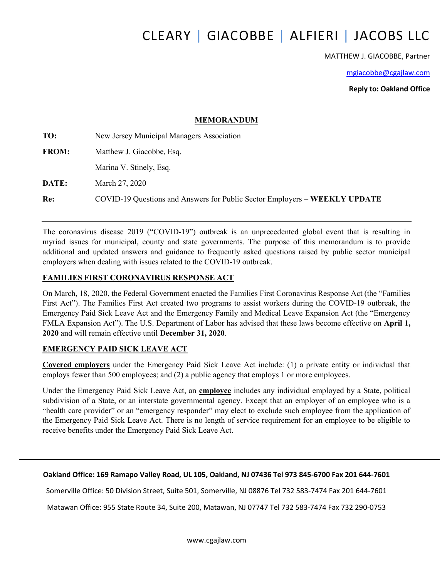# CLEARY | GIACOBBE | ALFIERI | JACOBS LLC

MATTHEW J. GIACOBBE, Partner

mgiacobbe@cgajlaw.com

Reply to: Oakland Office

#### MEMORANDUM

| TO:          | New Jersey Municipal Managers Association                                  |  |
|--------------|----------------------------------------------------------------------------|--|
| <b>FROM:</b> | Matthew J. Giacobbe, Esq.                                                  |  |
|              | Marina V. Stinely, Esq.                                                    |  |
| DATE:        | March 27, 2020                                                             |  |
| Re:          | COVID-19 Questions and Answers for Public Sector Employers – WEEKLY UPDATE |  |

The coronavirus disease 2019 ("COVID-19") outbreak is an unprecedented global event that is resulting in myriad issues for municipal, county and state governments. The purpose of this memorandum is to provide additional and updated answers and guidance to frequently asked questions raised by public sector municipal employers when dealing with issues related to the COVID-19 outbreak.

#### FAMILIES FIRST CORONAVIRUS RESPONSE ACT

On March, 18, 2020, the Federal Government enacted the Families First Coronavirus Response Act (the "Families First Act"). The Families First Act created two programs to assist workers during the COVID-19 outbreak, the Emergency Paid Sick Leave Act and the Emergency Family and Medical Leave Expansion Act (the "Emergency FMLA Expansion Act"). The U.S. Department of Labor has advised that these laws become effective on April 1, 2020 and will remain effective until December 31, 2020.

#### EMERGENCY PAID SICK LEAVE ACT

Covered employers under the Emergency Paid Sick Leave Act include: (1) a private entity or individual that employs fewer than 500 employees; and (2) a public agency that employs 1 or more employees.

Under the Emergency Paid Sick Leave Act, an employee includes any individual employed by a State, political subdivision of a State, or an interstate governmental agency. Except that an employer of an employee who is a "health care provider" or an "emergency responder" may elect to exclude such employee from the application of the Emergency Paid Sick Leave Act. There is no length of service requirement for an employee to be eligible to receive benefits under the Emergency Paid Sick Leave Act.

#### Oakland Office: 169 Ramapo Valley Road, UL 105, Oakland, NJ 07436 Tel 973 845-6700 Fax 201 644-7601

Somerville Office: 50 Division Street, Suite 501, Somerville, NJ 08876 Tel 732 583-7474 Fax 201 644-7601

Matawan Office: 955 State Route 34, Suite 200, Matawan, NJ 07747 Tel 732 583-7474 Fax 732 290-0753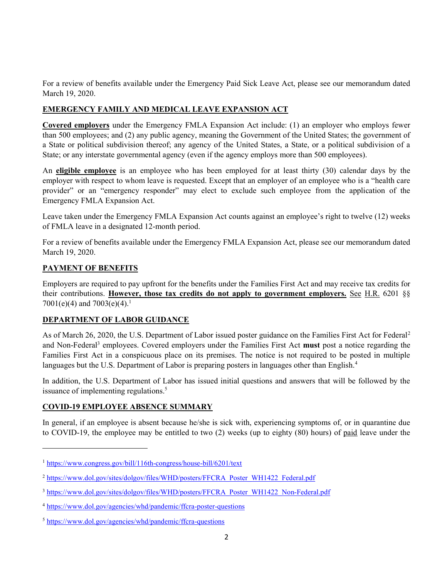For a review of benefits available under the Emergency Paid Sick Leave Act, please see our memorandum dated March 19, 2020.

# EMERGENCY FAMILY AND MEDICAL LEAVE EXPANSION ACT

Covered employers under the Emergency FMLA Expansion Act include: (1) an employer who employs fewer than 500 employees; and (2) any public agency, meaning the Government of the United States; the government of a State or political subdivision thereof; any agency of the United States, a State, or a political subdivision of a State; or any interstate governmental agency (even if the agency employs more than 500 employees).

An eligible employee is an employee who has been employed for at least thirty (30) calendar days by the employer with respect to whom leave is requested. Except that an employer of an employee who is a "health care provider" or an "emergency responder" may elect to exclude such employee from the application of the Emergency FMLA Expansion Act.

Leave taken under the Emergency FMLA Expansion Act counts against an employee's right to twelve (12) weeks of FMLA leave in a designated 12-month period.

For a review of benefits available under the Emergency FMLA Expansion Act, please see our memorandum dated March 19, 2020.

# PAYMENT OF BENEFITS

-

Employers are required to pay upfront for the benefits under the Families First Act and may receive tax credits for their contributions. However, those tax credits do not apply to government employers. See H.R. 6201 §§ 7001(e)(4) and 7003(e)(4).<sup>1</sup>

## DEPARTMENT OF LABOR GUIDANCE

As of March 26, 2020, the U.S. Department of Labor issued poster guidance on the Families First Act for Federal<sup>2</sup> and Non-Federal<sup>3</sup> employees. Covered employers under the Families First Act must post a notice regarding the Families First Act in a conspicuous place on its premises. The notice is not required to be posted in multiple languages but the U.S. Department of Labor is preparing posters in languages other than English.<sup>4</sup>

In addition, the U.S. Department of Labor has issued initial questions and answers that will be followed by the issuance of implementing regulations.<sup>5</sup>

# COVID-19 EMPLOYEE ABSENCE SUMMARY

In general, if an employee is absent because he/she is sick with, experiencing symptoms of, or in quarantine due to COVID-19, the employee may be entitled to two (2) weeks (up to eighty (80) hours) of paid leave under the

<sup>1</sup> https://www.congress.gov/bill/116th-congress/house-bill/6201/text

<sup>&</sup>lt;sup>2</sup> https://www.dol.gov/sites/dolgov/files/WHD/posters/FFCRA\_Poster\_WH1422\_Federal.pdf

<sup>&</sup>lt;sup>3</sup> https://www.dol.gov/sites/dolgov/files/WHD/posters/FFCRA\_Poster\_WH1422\_Non-Federal.pdf

<sup>4</sup> https://www.dol.gov/agencies/whd/pandemic/ffcra-poster-questions

<sup>5</sup> https://www.dol.gov/agencies/whd/pandemic/ffcra-questions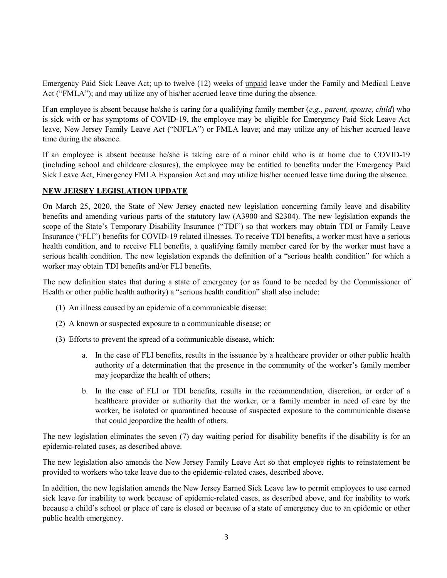Emergency Paid Sick Leave Act; up to twelve (12) weeks of unpaid leave under the Family and Medical Leave Act ("FMLA"); and may utilize any of his/her accrued leave time during the absence.

If an employee is absent because he/she is caring for a qualifying family member (e.g., parent, spouse, child) who is sick with or has symptoms of COVID-19, the employee may be eligible for Emergency Paid Sick Leave Act leave, New Jersey Family Leave Act ("NJFLA") or FMLA leave; and may utilize any of his/her accrued leave time during the absence.

If an employee is absent because he/she is taking care of a minor child who is at home due to COVID-19 (including school and childcare closures), the employee may be entitled to benefits under the Emergency Paid Sick Leave Act, Emergency FMLA Expansion Act and may utilize his/her accrued leave time during the absence.

## NEW JERSEY LEGISLATION UPDATE

On March 25, 2020, the State of New Jersey enacted new legislation concerning family leave and disability benefits and amending various parts of the statutory law (A3900 and S2304). The new legislation expands the scope of the State's Temporary Disability Insurance ("TDI") so that workers may obtain TDI or Family Leave Insurance ("FLI") benefits for COVID-19 related illnesses. To receive TDI benefits, a worker must have a serious health condition, and to receive FLI benefits, a qualifying family member cared for by the worker must have a serious health condition. The new legislation expands the definition of a "serious health condition" for which a worker may obtain TDI benefits and/or FLI benefits.

The new definition states that during a state of emergency (or as found to be needed by the Commissioner of Health or other public health authority) a "serious health condition" shall also include:

- (1) An illness caused by an epidemic of a communicable disease;
- (2) A known or suspected exposure to a communicable disease; or
- (3) Efforts to prevent the spread of a communicable disease, which:
	- a. In the case of FLI benefits, results in the issuance by a healthcare provider or other public health authority of a determination that the presence in the community of the worker's family member may jeopardize the health of others;
	- b. In the case of FLI or TDI benefits, results in the recommendation, discretion, or order of a healthcare provider or authority that the worker, or a family member in need of care by the worker, be isolated or quarantined because of suspected exposure to the communicable disease that could jeopardize the health of others.

The new legislation eliminates the seven (7) day waiting period for disability benefits if the disability is for an epidemic-related cases, as described above.

The new legislation also amends the New Jersey Family Leave Act so that employee rights to reinstatement be provided to workers who take leave due to the epidemic-related cases, described above.

In addition, the new legislation amends the New Jersey Earned Sick Leave law to permit employees to use earned sick leave for inability to work because of epidemic-related cases, as described above, and for inability to work because a child's school or place of care is closed or because of a state of emergency due to an epidemic or other public health emergency.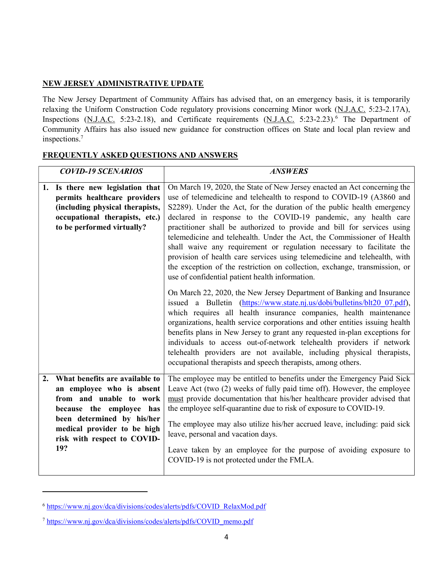#### NEW JERSEY ADMINISTRATIVE UPDATE

The New Jersey Department of Community Affairs has advised that, on an emergency basis, it is temporarily relaxing the Uniform Construction Code regulatory provisions concerning Minor work (N.J.A.C. 5:23-2.17A), Inspections (N.J.A.C. 5:23-2.18), and Certificate requirements (N.J.A.C. 5:23-2.23).<sup>6</sup> The Department of Community Affairs has also issued new guidance for construction offices on State and local plan review and inspections.<sup>7</sup>

|    | <b>COVID-19 SCENARIOS</b>                                                                                                                                                                                             | <b>ANSWERS</b>                                                                                                                                                                                                                                                                                                                                                                                                                                                                                                                                                                                                                                                                                                                                                                                                                                                                                                                                                                                                                                                                                                                                                                                                                                                                                                                                     |
|----|-----------------------------------------------------------------------------------------------------------------------------------------------------------------------------------------------------------------------|----------------------------------------------------------------------------------------------------------------------------------------------------------------------------------------------------------------------------------------------------------------------------------------------------------------------------------------------------------------------------------------------------------------------------------------------------------------------------------------------------------------------------------------------------------------------------------------------------------------------------------------------------------------------------------------------------------------------------------------------------------------------------------------------------------------------------------------------------------------------------------------------------------------------------------------------------------------------------------------------------------------------------------------------------------------------------------------------------------------------------------------------------------------------------------------------------------------------------------------------------------------------------------------------------------------------------------------------------|
|    | 1. Is there new legislation that<br>permits healthcare providers<br>(including physical therapists,<br>occupational therapists, etc.)<br>to be performed virtually?                                                   | On March 19, 2020, the State of New Jersey enacted an Act concerning the<br>use of telemedicine and telehealth to respond to COVID-19 (A3860 and<br>S2289). Under the Act, for the duration of the public health emergency<br>declared in response to the COVID-19 pandemic, any health care<br>practitioner shall be authorized to provide and bill for services using<br>telemedicine and telehealth. Under the Act, the Commissioner of Health<br>shall waive any requirement or regulation necessary to facilitate the<br>provision of health care services using telemedicine and telehealth, with<br>the exception of the restriction on collection, exchange, transmission, or<br>use of confidential patient health information.<br>On March 22, 2020, the New Jersey Department of Banking and Insurance<br>issued a Bulletin (https://www.state.nj.us/dobi/bulletins/blt20 07.pdf),<br>which requires all health insurance companies, health maintenance<br>organizations, health service corporations and other entities issuing health<br>benefits plans in New Jersey to grant any requested in-plan exceptions for<br>individuals to access out-of-network telehealth providers if network<br>telehealth providers are not available, including physical therapists,<br>occupational therapists and speech therapists, among others. |
| 2. | What benefits are available to<br>an employee who is absent<br>from and unable to work<br>because the employee has<br>been determined by his/her<br>medical provider to be high<br>risk with respect to COVID-<br>19? | The employee may be entitled to benefits under the Emergency Paid Sick<br>Leave Act (two (2) weeks of fully paid time off). However, the employee<br>must provide documentation that his/her healthcare provider advised that<br>the employee self-quarantine due to risk of exposure to COVID-19.<br>The employee may also utilize his/her accrued leave, including: paid sick<br>leave, personal and vacation days.<br>Leave taken by an employee for the purpose of avoiding exposure to<br>COVID-19 is not protected under the FMLA.                                                                                                                                                                                                                                                                                                                                                                                                                                                                                                                                                                                                                                                                                                                                                                                                           |

#### FREQUENTLY ASKED QUESTIONS AND ANSWERS

<sup>6</sup> https://www.nj.gov/dca/divisions/codes/alerts/pdfs/COVID\_RelaxMod.pdf

<sup>7</sup> https://www.nj.gov/dca/divisions/codes/alerts/pdfs/COVID\_memo.pdf